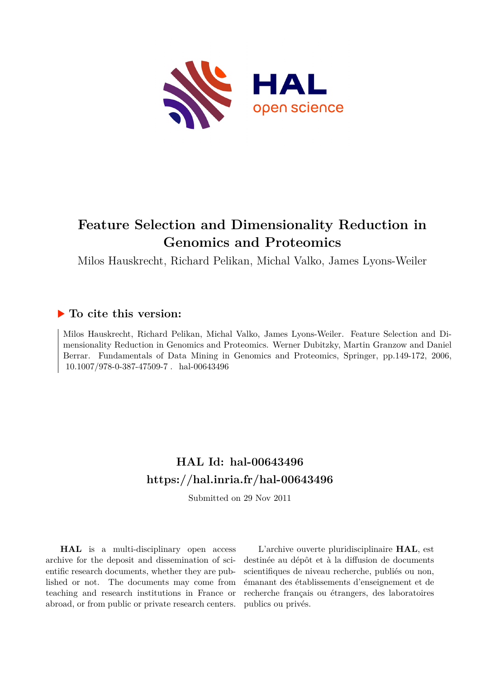

# **Feature Selection and Dimensionality Reduction in Genomics and Proteomics**

Milos Hauskrecht, Richard Pelikan, Michal Valko, James Lyons-Weiler

## **To cite this version:**

Milos Hauskrecht, Richard Pelikan, Michal Valko, James Lyons-Weiler. Feature Selection and Dimensionality Reduction in Genomics and Proteomics. Werner Dubitzky, Martin Granzow and Daniel Berrar. Fundamentals of Data Mining in Genomics and Proteomics, Springer, pp.149-172, 2006, 10.1007/978-0-387-47509-7. hal-00643496

# **HAL Id: hal-00643496 <https://hal.inria.fr/hal-00643496>**

Submitted on 29 Nov 2011

**HAL** is a multi-disciplinary open access archive for the deposit and dissemination of scientific research documents, whether they are published or not. The documents may come from teaching and research institutions in France or abroad, or from public or private research centers.

L'archive ouverte pluridisciplinaire **HAL**, est destinée au dépôt et à la diffusion de documents scientifiques de niveau recherche, publiés ou non, émanant des établissements d'enseignement et de recherche français ou étrangers, des laboratoires publics ou privés.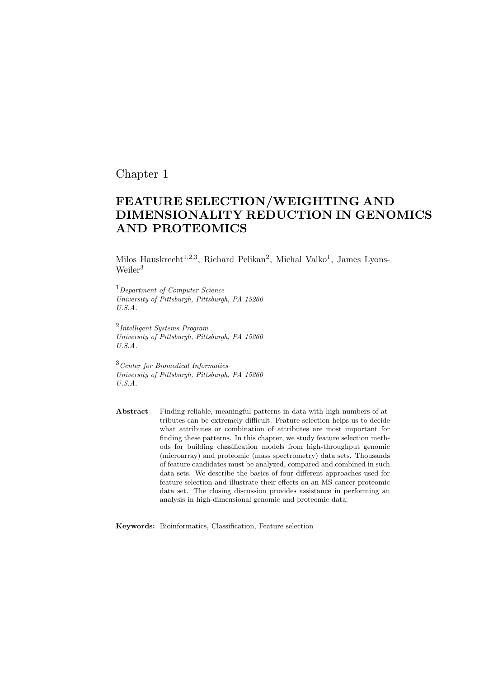## Chapter 1

## FEATURE SELECTION/WEIGHTING AND DIMENSIONALITY REDUCTION IN GENOMICS AND PROTEOMICS

Milos Hauskrecht<sup>1,2,3</sup>, Richard Pelikan<sup>2</sup>, Michal Valko<sup>1</sup>, James Lyons-Weiler<sup>3</sup>

<sup>1</sup>*Department of Computer Science University of Pittsburgh, Pittsburgh, PA 15260 U.S.A.*

2 *Intelligent Systems Program University of Pittsburgh, Pittsburgh, PA 15260 U.S.A.*

<sup>3</sup>*Center for Biomedical Informatics University of Pittsburgh, Pittsburgh, PA 15260 U.S.A.*

Abstract Finding reliable, meaningful patterns in data with high numbers of attributes can be extremely difficult. Feature selection helps us to decide what attributes or combination of attributes are most important for finding these patterns. In this chapter, we study feature selection methods for building classification models from high-throughput genomic (microarray) and proteomic (mass spectrometry) data sets. Thousands of feature candidates must be analyzed, compared and combined in such data sets. We describe the basics of four different approaches used for feature selection and illustrate their effects on an MS cancer proteomic data set. The closing discussion provides assistance in performing an analysis in high-dimensional genomic and proteomic data.

Keywords: Bioinformatics, Classification, Feature selection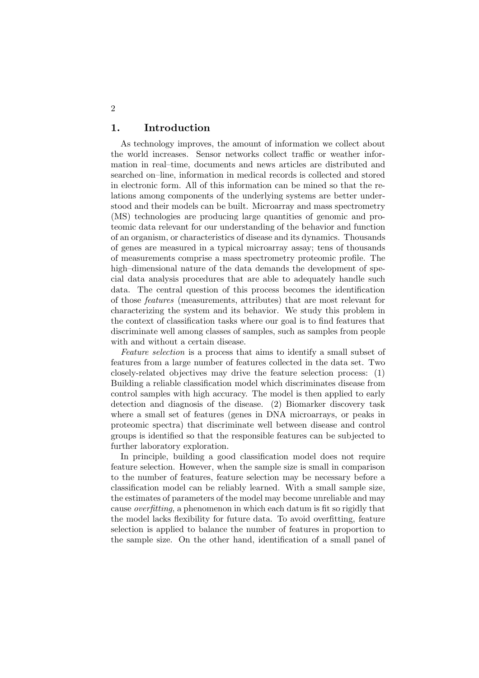## 1. Introduction

As technology improves, the amount of information we collect about the world increases. Sensor networks collect traffic or weather information in real–time, documents and news articles are distributed and searched on–line, information in medical records is collected and stored in electronic form. All of this information can be mined so that the relations among components of the underlying systems are better understood and their models can be built. Microarray and mass spectrometry (MS) technologies are producing large quantities of genomic and proteomic data relevant for our understanding of the behavior and function of an organism, or characteristics of disease and its dynamics. Thousands of genes are measured in a typical microarray assay; tens of thousands of measurements comprise a mass spectrometry proteomic profile. The high–dimensional nature of the data demands the development of special data analysis procedures that are able to adequately handle such data. The central question of this process becomes the identification of those *features* (measurements, attributes) that are most relevant for characterizing the system and its behavior. We study this problem in the context of classification tasks where our goal is to find features that discriminate well among classes of samples, such as samples from people with and without a certain disease.

*Feature selection* is a process that aims to identify a small subset of features from a large number of features collected in the data set. Two closely-related objectives may drive the feature selection process: (1) Building a reliable classification model which discriminates disease from control samples with high accuracy. The model is then applied to early detection and diagnosis of the disease. (2) Biomarker discovery task where a small set of features (genes in DNA microarrays, or peaks in proteomic spectra) that discriminate well between disease and control groups is identified so that the responsible features can be subjected to further laboratory exploration.

In principle, building a good classification model does not require feature selection. However, when the sample size is small in comparison to the number of features, feature selection may be necessary before a classification model can be reliably learned. With a small sample size, the estimates of parameters of the model may become unreliable and may cause *overfitting*, a phenomenon in which each datum is fit so rigidly that the model lacks flexibility for future data. To avoid overfitting, feature selection is applied to balance the number of features in proportion to the sample size. On the other hand, identification of a small panel of

2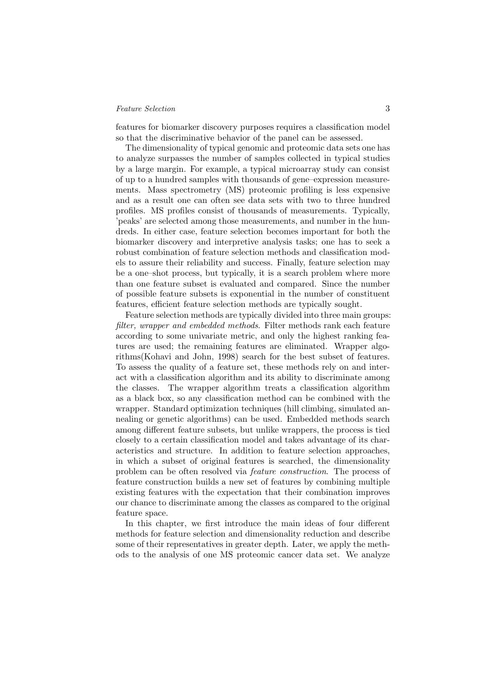#### *Feature Selection* 3

features for biomarker discovery purposes requires a classification model so that the discriminative behavior of the panel can be assessed.

The dimensionality of typical genomic and proteomic data sets one has to analyze surpasses the number of samples collected in typical studies by a large margin. For example, a typical microarray study can consist of up to a hundred samples with thousands of gene–expression measurements. Mass spectrometry (MS) proteomic profiling is less expensive and as a result one can often see data sets with two to three hundred profiles. MS profiles consist of thousands of measurements. Typically, 'peaks' are selected among those measurements, and number in the hundreds. In either case, feature selection becomes important for both the biomarker discovery and interpretive analysis tasks; one has to seek a robust combination of feature selection methods and classification models to assure their reliability and success. Finally, feature selection may be a one–shot process, but typically, it is a search problem where more than one feature subset is evaluated and compared. Since the number of possible feature subsets is exponential in the number of constituent features, efficient feature selection methods are typically sought.

Feature selection methods are typically divided into three main groups: *filter, wrapper and embedded methods*. Filter methods rank each feature according to some univariate metric, and only the highest ranking features are used; the remaining features are eliminated. Wrapper algorithms(Kohavi and John, 1998) search for the best subset of features. To assess the quality of a feature set, these methods rely on and interact with a classification algorithm and its ability to discriminate among the classes. The wrapper algorithm treats a classification algorithm as a black box, so any classification method can be combined with the wrapper. Standard optimization techniques (hill climbing, simulated annealing or genetic algorithms) can be used. Embedded methods search among different feature subsets, but unlike wrappers, the process is tied closely to a certain classification model and takes advantage of its characteristics and structure. In addition to feature selection approaches, in which a subset of original features is searched, the dimensionality problem can be often resolved via *feature construction*. The process of feature construction builds a new set of features by combining multiple existing features with the expectation that their combination improves our chance to discriminate among the classes as compared to the original feature space.

In this chapter, we first introduce the main ideas of four different methods for feature selection and dimensionality reduction and describe some of their representatives in greater depth. Later, we apply the methods to the analysis of one MS proteomic cancer data set. We analyze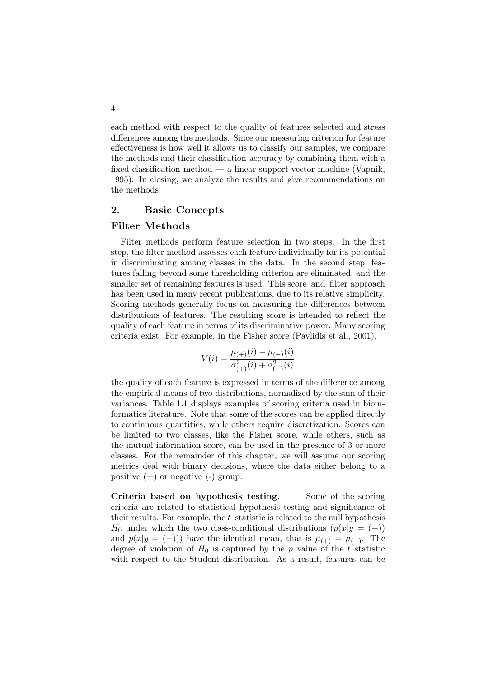each method with respect to the quality of features selected and stress differences among the methods. Since our measuring criterion for feature effectiveness is how well it allows us to classify our samples, we compare the methods and their classification accuracy by combining them with a fixed classification method — a linear support vector machine (Vapnik, 1995). In closing, we analyze the results and give recommendations on the methods.

## 2. Basic Concepts

#### Filter Methods

Filter methods perform feature selection in two steps. In the first step, the filter method assesses each feature individually for its potential in discriminating among classes in the data. In the second step, features falling beyond some thresholding criterion are eliminated, and the smaller set of remaining features is used. This score–and–filter approach has been used in many recent publications, due to its relative simplicity. Scoring methods generally focus on measuring the differences between distributions of features. The resulting score is intended to reflect the quality of each feature in terms of its discriminative power. Many scoring criteria exist. For example, in the Fisher score (Pavlidis et al., 2001),

$$
V(i) = \frac{\mu_{(+)}(i) - \mu_{(-)}(i)}{\sigma_{(+)}^2(i) + \sigma_{(-)}^2(i)}
$$

the quality of each feature is expressed in terms of the difference among the empirical means of two distributions, normalized by the sum of their variances. Table 1.1 displays examples of scoring criteria used in bioinformatics literature. Note that some of the scores can be applied directly to continuous quantities, while others require discretization. Scores can be limited to two classes, like the Fisher score, while others, such as the mutual information score, can be used in the presence of 3 or more classes. For the remainder of this chapter, we will assume our scoring metrics deal with binary decisions, where the data either belong to a positive  $(+)$  or negative  $(-)$  group.

Criteria based on hypothesis testing. Some of the scoring criteria are related to statistical hypothesis testing and significance of their results. For example, the  $t$ -statistic is related to the null hypothesis  $H_0$  under which the two class-conditional distributions  $(p(x|y = (+))$ and  $p(x|y = (-))$  have the identical mean, that is  $\mu_{(+)} = \mu_{(-)}$ . The degree of violation of  $H_0$  is captured by the p-value of the t-statistic with respect to the Student distribution. As a result, features can be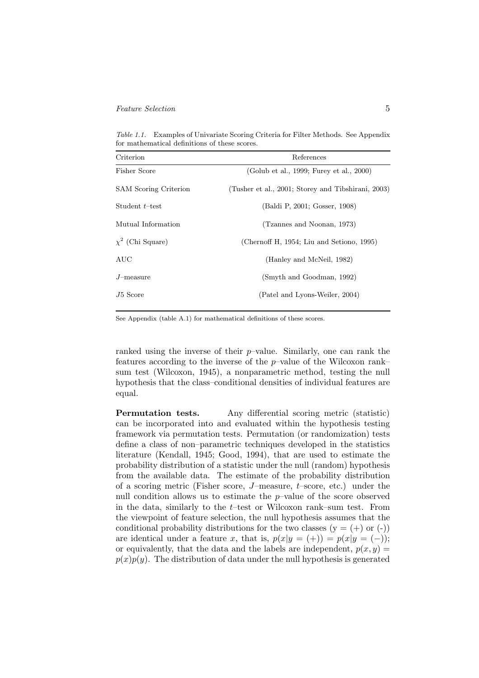*Table 1.1.* Examples of Univariate Scoring Criteria for Filter Methods. See Appendix for mathematical definitions of these scores.

| Criterion                    | References                                         |  |  |
|------------------------------|----------------------------------------------------|--|--|
| Fisher Score                 | (Golub et al., 1999; Furey et al., 2000)           |  |  |
| <b>SAM</b> Scoring Criterion | (Tusher et al., 2001; Storey and Tibshirani, 2003) |  |  |
| Student $t$ -test            | (Baldi P, 2001; Gosser, 1908)                      |  |  |
| Mutual Information           | (Tzannes and Noonan, 1973)                         |  |  |
| $\chi^2$ (Chi Square)        | (Chernoff H, 1954; Liu and Setiono, 1995)          |  |  |
| AUC                          | (Hanley and McNeil, 1982)                          |  |  |
| $J$ -measure                 | (Smyth and Goodman, 1992)                          |  |  |
| .J5 Score                    | (Patel and Lyons-Weiler, 2004)                     |  |  |

See Appendix (table A.1) for mathematical definitions of these scores.

ranked using the inverse of their  $p$ -value. Similarly, one can rank the features according to the inverse of the  $p$ –value of the Wilcoxon rank– sum test (Wilcoxon, 1945), a nonparametric method, testing the null hypothesis that the class–conditional densities of individual features are equal.

Permutation tests. Any differential scoring metric (statistic) can be incorporated into and evaluated within the hypothesis testing framework via permutation tests. Permutation (or randomization) tests define a class of non–parametric techniques developed in the statistics literature (Kendall, 1945; Good, 1994), that are used to estimate the probability distribution of a statistic under the null (random) hypothesis from the available data. The estimate of the probability distribution of a scoring metric (Fisher score,  $J$ –measure,  $t$ –score, etc.) under the null condition allows us to estimate the  $p$ -value of the score observed in the data, similarly to the t–test or Wilcoxon rank–sum test. From the viewpoint of feature selection, the null hypothesis assumes that the conditional probability distributions for the two classes  $(y = (+)$  or  $(-))$ are identical under a feature x, that is,  $p(x|y = (+)) = p(x|y = (-));$ or equivalently, that the data and the labels are independent,  $p(x, y) =$  $p(x)p(y)$ . The distribution of data under the null hypothesis is generated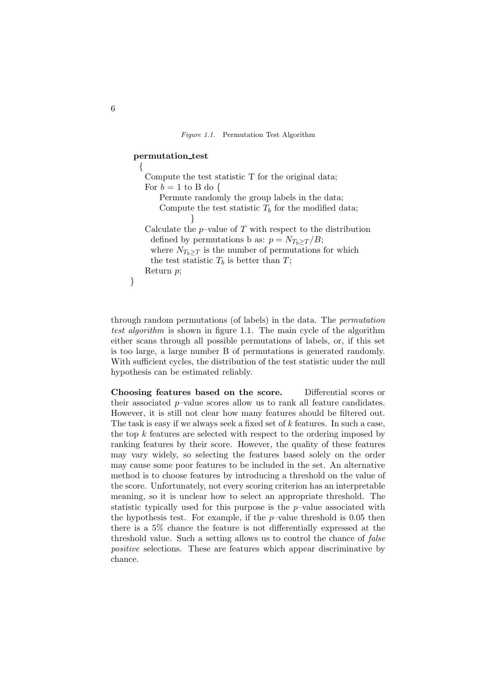*Figure 1.1.* Permutation Test Algorithm

## permutation test

 $\{$ Compute the test statistic T for the original data; For  $b = 1$  to B do { Permute randomly the group labels in the data; Compute the test statistic  $T<sub>b</sub>$  for the modified data; } Calculate the  $p$ -value of  $T$  with respect to the distribution defined by permutations b as:  $p = N_{T_b>T}/B$ ; where  $N_{T_b>T}$  is the number of permutations for which the test statistic  $T_b$  is better than  $T$ ; Return p; }

through random permutations (of labels) in the data. The *permutation test algorithm* is shown in figure 1.1. The main cycle of the algorithm either scans through all possible permutations of labels, or, if this set is too large, a large number B of permutations is generated randomly. With sufficient cycles, the distribution of the test statistic under the null hypothesis can be estimated reliably.

Choosing features based on the score. Differential scores or their associated  $p$ -value scores allow us to rank all feature candidates. However, it is still not clear how many features should be filtered out. The task is easy if we always seek a fixed set of k features. In such a case, the top  $k$  features are selected with respect to the ordering imposed by ranking features by their score. However, the quality of these features may vary widely, so selecting the features based solely on the order may cause some poor features to be included in the set. An alternative method is to choose features by introducing a threshold on the value of the score. Unfortunately, not every scoring criterion has an interpretable meaning, so it is unclear how to select an appropriate threshold. The statistic typically used for this purpose is the  $p$ -value associated with the hypothesis test. For example, if the  $p$ -value threshold is 0.05 then there is a 5% chance the feature is not differentially expressed at the threshold value. Such a setting allows us to control the chance of *false positive* selections. These are features which appear discriminative by chance.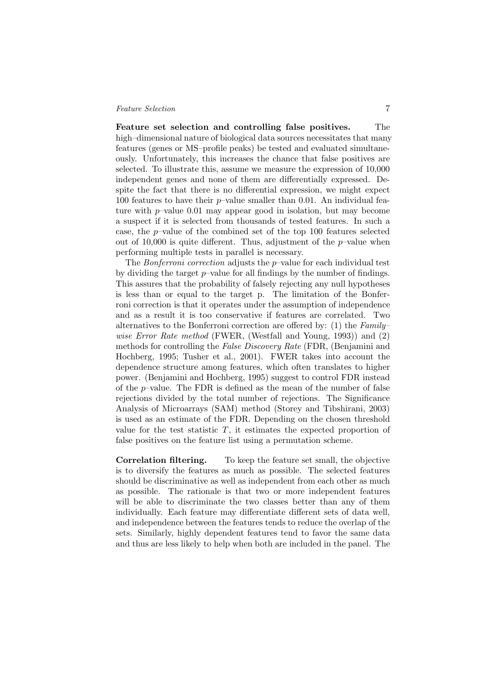#### *Feature Selection* 7

Feature set selection and controlling false positives. The high–dimensional nature of biological data sources necessitates that many features (genes or MS–profile peaks) be tested and evaluated simultaneously. Unfortunately, this increases the chance that false positives are selected. To illustrate this, assume we measure the expression of 10,000 independent genes and none of them are differentially expressed. Despite the fact that there is no differential expression, we might expect 100 features to have their  $p$ -value smaller than 0.01. An individual feature with p–value 0.01 may appear good in isolation, but may become a suspect if it is selected from thousands of tested features. In such a case, the  $p$ -value of the combined set of the top 100 features selected out of 10,000 is quite different. Thus, adjustment of the  $p$ -value when performing multiple tests in parallel is necessary.

The *Bonferroni correction* adjusts the p–value for each individual test by dividing the target  $p$ -value for all findings by the number of findings. This assures that the probability of falsely rejecting any null hypotheses is less than or equal to the target p. The limitation of the Bonferroni correction is that it operates under the assumption of independence and as a result it is too conservative if features are correlated. Two alternatives to the Bonferroni correction are offered by: (1) the *Family– wise Error Rate method* (FWER, (Westfall and Young, 1993)) and (2) methods for controlling the *False Discovery Rate* (FDR, (Benjamini and Hochberg, 1995; Tusher et al., 2001). FWER takes into account the dependence structure among features, which often translates to higher power. (Benjamini and Hochberg, 1995) suggest to control FDR instead of the  $p$ -value. The FDR is defined as the mean of the number of false rejections divided by the total number of rejections. The Significance Analysis of Microarrays (SAM) method (Storey and Tibshirani, 2003) is used as an estimate of the FDR. Depending on the chosen threshold value for the test statistic  $T$ , it estimates the expected proportion of false positives on the feature list using a permutation scheme.

Correlation filtering. To keep the feature set small, the objective is to diversify the features as much as possible. The selected features should be discriminative as well as independent from each other as much as possible. The rationale is that two or more independent features will be able to discriminate the two classes better than any of them individually. Each feature may differentiate different sets of data well, and independence between the features tends to reduce the overlap of the sets. Similarly, highly dependent features tend to favor the same data and thus are less likely to help when both are included in the panel. The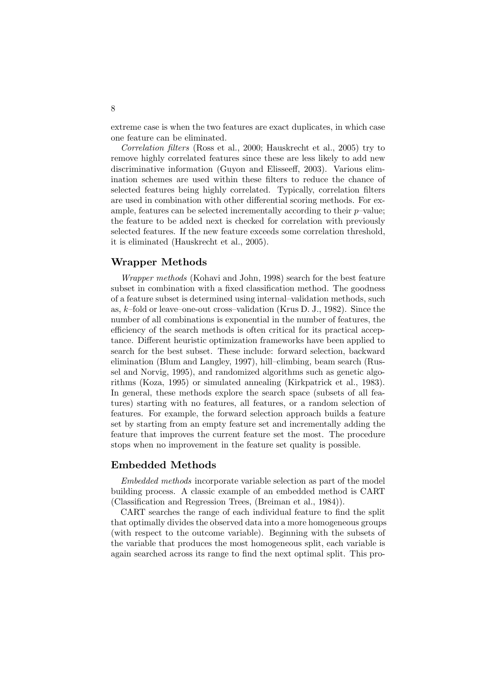extreme case is when the two features are exact duplicates, in which case one feature can be eliminated.

*Correlation filters* (Ross et al., 2000; Hauskrecht et al., 2005) try to remove highly correlated features since these are less likely to add new discriminative information (Guyon and Elisseeff, 2003). Various elimination schemes are used within these filters to reduce the chance of selected features being highly correlated. Typically, correlation filters are used in combination with other differential scoring methods. For example, features can be selected incrementally according to their  $p$ -value; the feature to be added next is checked for correlation with previously selected features. If the new feature exceeds some correlation threshold, it is eliminated (Hauskrecht et al., 2005).

### Wrapper Methods

*Wrapper methods* (Kohavi and John, 1998) search for the best feature subset in combination with a fixed classification method. The goodness of a feature subset is determined using internal–validation methods, such as, k–fold or leave–one-out cross–validation (Krus D. J., 1982). Since the number of all combinations is exponential in the number of features, the efficiency of the search methods is often critical for its practical acceptance. Different heuristic optimization frameworks have been applied to search for the best subset. These include: forward selection, backward elimination (Blum and Langley, 1997), hill–climbing, beam search (Russel and Norvig, 1995), and randomized algorithms such as genetic algorithms (Koza, 1995) or simulated annealing (Kirkpatrick et al., 1983). In general, these methods explore the search space (subsets of all features) starting with no features, all features, or a random selection of features. For example, the forward selection approach builds a feature set by starting from an empty feature set and incrementally adding the feature that improves the current feature set the most. The procedure stops when no improvement in the feature set quality is possible.

## Embedded Methods

*Embedded methods* incorporate variable selection as part of the model building process. A classic example of an embedded method is CART (Classification and Regression Trees, (Breiman et al., 1984)).

CART searches the range of each individual feature to find the split that optimally divides the observed data into a more homogeneous groups (with respect to the outcome variable). Beginning with the subsets of the variable that produces the most homogeneous split, each variable is again searched across its range to find the next optimal split. This pro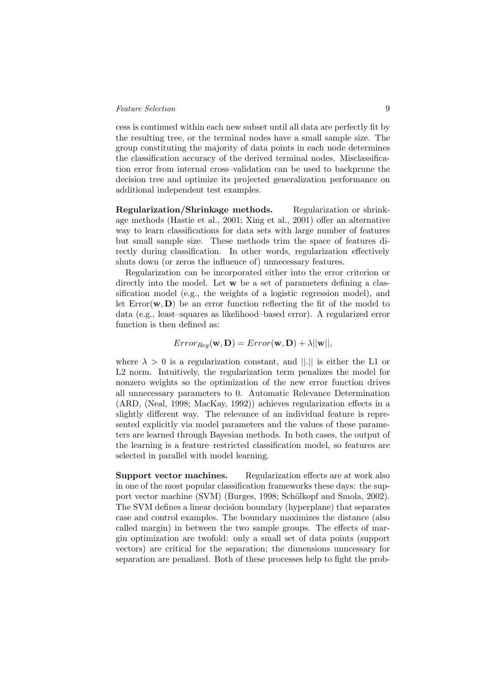cess is continued within each new subset until all data are perfectly fit by the resulting tree, or the terminal nodes have a small sample size. The group constituting the majority of data points in each node determines the classification accuracy of the derived terminal nodes. Misclassification error from internal cross–validation can be used to backprune the decision tree and optimize its projected generalization performance on additional independent test examples.

Regularization/Shrinkage methods. Regularization or shrinkage methods (Hastie et al., 2001; Xing et al., 2001) offer an alternative way to learn classifications for data sets with large number of features but small sample size. These methods trim the space of features directly during classification. In other words, regularization effectively shuts down (or zeros the influence of) unnecessary features.

Regularization can be incorporated either into the error criterion or directly into the model. Let **w** be a set of parameters defining a classification model (e.g., the weights of a logistic regression model), and let  $Error(\mathbf{w}, \mathbf{D})$  be an error function reflecting the fit of the model to data (e.g., least–squares as likelihood–based error). A regularized error function is then defined as:

$$
Error_{Reg}(\mathbf{w}, \mathbf{D}) = Error(\mathbf{w}, \mathbf{D}) + \lambda ||\mathbf{w}||,
$$

where  $\lambda > 0$  is a regularization constant, and ||.|| is either the L1 or L2 norm. Intuitively, the regularization term penalizes the model for nonzero weights so the optimization of the new error function drives all unnecessary parameters to 0. Automatic Relevance Determination (ARD, (Neal, 1998; MacKay, 1992)) achieves regularization effects in a slightly different way. The relevance of an individual feature is represented explicitly via model parameters and the values of these parameters are learned through Bayesian methods. In both cases, the output of the learning is a feature–restricted classification model, so features are selected in parallel with model learning.

Support vector machines. Regularization effects are at work also in one of the most popular classification frameworks these days: the support vector machine (SVM) (Burges, 1998; Schölkopf and Smola, 2002). The SVM defines a linear decision boundary (hyperplane) that separates case and control examples. The boundary maximizes the distance (also called margin) in between the two sample groups. The effects of margin optimization are twofold: only a small set of data points (support vectors) are critical for the separation; the dimensions unncessary for separation are penalized. Both of these processes help to fight the prob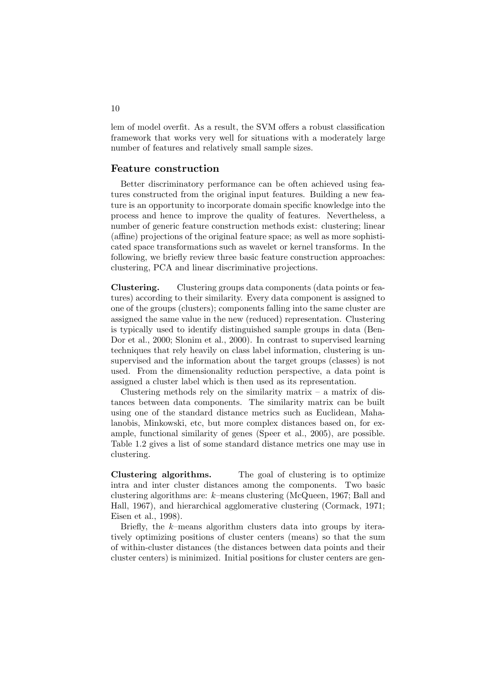lem of model overfit. As a result, the SVM offers a robust classification framework that works very well for situations with a moderately large number of features and relatively small sample sizes.

#### Feature construction

Better discriminatory performance can be often achieved using features constructed from the original input features. Building a new feature is an opportunity to incorporate domain specific knowledge into the process and hence to improve the quality of features. Nevertheless, a number of generic feature construction methods exist: clustering; linear (affine) projections of the original feature space; as well as more sophisticated space transformations such as wavelet or kernel transforms. In the following, we briefly review three basic feature construction approaches: clustering, PCA and linear discriminative projections.

Clustering. Clustering groups data components (data points or features) according to their similarity. Every data component is assigned to one of the groups (clusters); components falling into the same cluster are assigned the same value in the new (reduced) representation. Clustering is typically used to identify distinguished sample groups in data (Ben-Dor et al., 2000; Slonim et al., 2000). In contrast to supervised learning techniques that rely heavily on class label information, clustering is unsupervised and the information about the target groups (classes) is not used. From the dimensionality reduction perspective, a data point is assigned a cluster label which is then used as its representation.

Clustering methods rely on the similarity matrix – a matrix of distances between data components. The similarity matrix can be built using one of the standard distance metrics such as Euclidean, Mahalanobis, Minkowski, etc, but more complex distances based on, for example, functional similarity of genes (Speer et al., 2005), are possible. Table 1.2 gives a list of some standard distance metrics one may use in clustering.

Clustering algorithms. The goal of clustering is to optimize intra and inter cluster distances among the components. Two basic clustering algorithms are: k–means clustering (McQueen, 1967; Ball and Hall, 1967), and hierarchical agglomerative clustering (Cormack, 1971; Eisen et al., 1998).

Briefly, the k–means algorithm clusters data into groups by iteratively optimizing positions of cluster centers (means) so that the sum of within-cluster distances (the distances between data points and their cluster centers) is minimized. Initial positions for cluster centers are gen-

10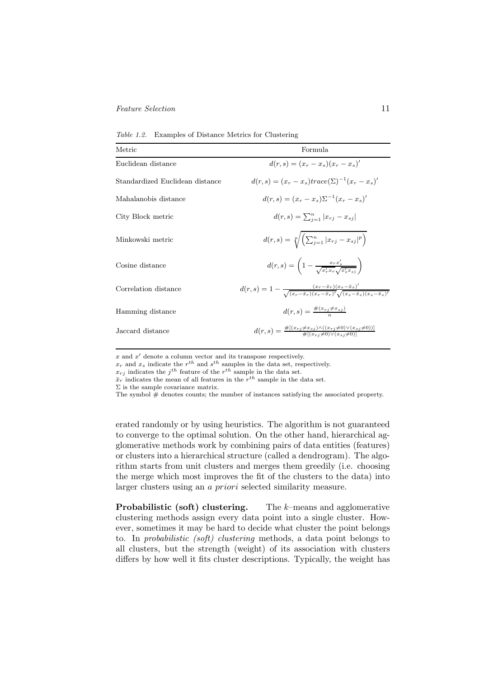#### *Feature Selection* 11

*Table 1.2.* Examples of Distance Metrics for Clustering

| Metric                          | Formula                                                                                                                             |
|---------------------------------|-------------------------------------------------------------------------------------------------------------------------------------|
| Euclidean distance              | $d(r,s) = (x_r - x_s)(x_r - x_s)'$                                                                                                  |
| Standardized Euclidean distance | $d(r,s) = (x_r - x_s) trace(\Sigma)^{-1}(x_r - x_s)'$                                                                               |
| Mahalanobis distance            | $d(r,s) = (x_r - x_s) \sum^{-1} (x_r - x_s)'$                                                                                       |
| City Block metric               | $d(r,s) = \sum_{i=1}^{n}  x_{rj} - x_{sj} $                                                                                         |
| Minkowski metric                | $d(r,s) = \sqrt[p]{\left(\sum_{j=1}^{n}  x_{rj} - x_{sj} ^p\right)}$                                                                |
| Cosine distance                 | $d(r,s) = \left(1 - \frac{x_r x_s'}{\sqrt{x'_x x_r} \sqrt{x'_x x_s}}\right)$                                                        |
| Correlation distance            | $d(r,s)=1-\frac{(x_r-\bar{x}_r)(x_s-\bar{x}_s)'}{\sqrt{(x_r-\bar{x}_r)(x_r-\bar{x}_r)}\sqrt{(x_s-\bar{x}_s)(x_s-\bar{x}_s)}}$       |
| Hamming distance                | $d(r,s) = \frac{\#(x_{rj} \neq x_{sj})}{r}$                                                                                         |
| Jaccard distance                | $d(r,s) = \frac{\#[(x_{rj} \neq x_{sj}) \wedge ((x_{rj} \neq 0) \vee (x_{sj} \neq 0))] }{\#[(x_{rj} \neq 0) \vee (x_{rj} \neq 0)]}$ |

 $x$  and  $x'$  denote a column vector and its transpose respectively.

 $x_r$  and  $x_s$  indicate the  $r^{th}$  and  $s^{th}$  samples in the data set, respectively.

 $x_{rj}$  indicates the  $j^{th}$  feature of the  $r^{th}$  sample in the data set.

 $\bar{x}_r$  indicates the mean of all features in the  $r^{th}$  sample in the data set.

 $\Sigma$  is the sample covariance matrix.

The symbol  $#$  denotes counts; the number of instances satisfying the associated property.

erated randomly or by using heuristics. The algorithm is not guaranteed to converge to the optimal solution. On the other hand, hierarchical agglomerative methods work by combining pairs of data entities (features) or clusters into a hierarchical structure (called a dendrogram). The algorithm starts from unit clusters and merges them greedily (i.e. choosing the merge which most improves the fit of the clusters to the data) into larger clusters using an a priori selected similarity measure.

Probabilistic (soft) clustering. The k–means and agglomerative clustering methods assign every data point into a single cluster. However, sometimes it may be hard to decide what cluster the point belongs to. In *probabilistic (soft) clustering* methods, a data point belongs to all clusters, but the strength (weight) of its association with clusters differs by how well it fits cluster descriptions. Typically, the weight has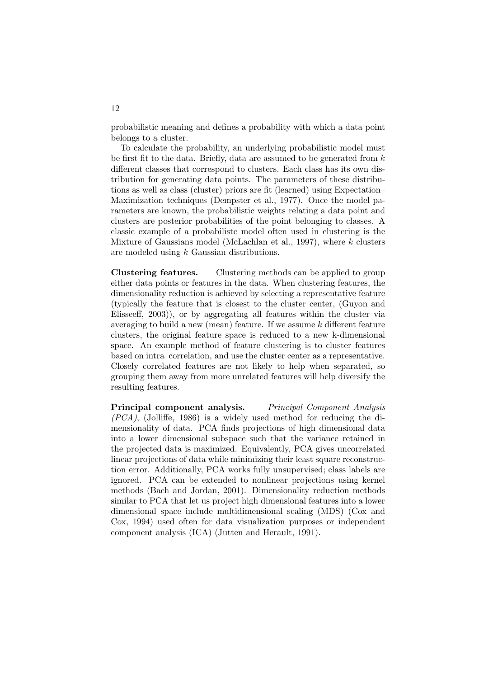probabilistic meaning and defines a probability with which a data point belongs to a cluster.

To calculate the probability, an underlying probabilistic model must be first fit to the data. Briefly, data are assumed to be generated from  $k$ different classes that correspond to clusters. Each class has its own distribution for generating data points. The parameters of these distributions as well as class (cluster) priors are fit (learned) using Expectation– Maximization techniques (Dempster et al., 1977). Once the model parameters are known, the probabilistic weights relating a data point and clusters are posterior probabilities of the point belonging to classes. A classic example of a probabilistc model often used in clustering is the Mixture of Gaussians model (McLachlan et al., 1997), where k clusters are modeled using k Gaussian distributions.

Clustering features. Clustering methods can be applied to group either data points or features in the data. When clustering features, the dimensionality reduction is achieved by selecting a representative feature (typically the feature that is closest to the cluster center, (Guyon and Elisseeff, 2003)), or by aggregating all features within the cluster via averaging to build a new (mean) feature. If we assume  $k$  different feature clusters, the original feature space is reduced to a new k-dimensional space. An example method of feature clustering is to cluster features based on intra–correlation, and use the cluster center as a representative. Closely correlated features are not likely to help when separated, so grouping them away from more unrelated features will help diversify the resulting features.

Principal component analysis. *Principal Component Analysis (PCA)*, (Jolliffe, 1986) is a widely used method for reducing the dimensionality of data. PCA finds projections of high dimensional data into a lower dimensional subspace such that the variance retained in the projected data is maximized. Equivalently, PCA gives uncorrelated linear projections of data while minimizing their least square reconstruction error. Additionally, PCA works fully unsupervised; class labels are ignored. PCA can be extended to nonlinear projections using kernel methods (Bach and Jordan, 2001). Dimensionality reduction methods similar to PCA that let us project high dimensional features into a lower dimensional space include multidimensional scaling (MDS) (Cox and Cox, 1994) used often for data visualization purposes or independent component analysis (ICA) (Jutten and Herault, 1991).

#### 12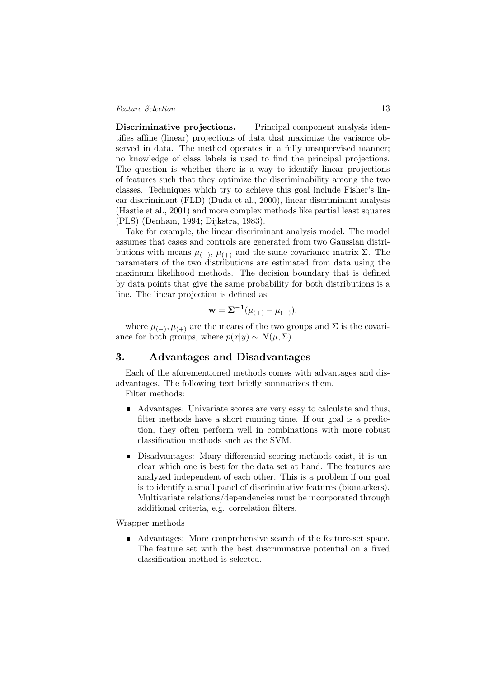Discriminative projections. Principal component analysis identifies affine (linear) projections of data that maximize the variance observed in data. The method operates in a fully unsupervised manner; no knowledge of class labels is used to find the principal projections. The question is whether there is a way to identify linear projections of features such that they optimize the discriminability among the two classes. Techniques which try to achieve this goal include Fisher's linear discriminant (FLD) (Duda et al., 2000), linear discriminant analysis (Hastie et al., 2001) and more complex methods like partial least squares (PLS) (Denham, 1994; Dijkstra, 1983).

Take for example, the linear discriminant analysis model. The model assumes that cases and controls are generated from two Gaussian distributions with means  $\mu_{(-)}$ ,  $\mu_{(+)}$  and the same covariance matrix  $\Sigma$ . The parameters of the two distributions are estimated from data using the maximum likelihood methods. The decision boundary that is defined by data points that give the same probability for both distributions is a line. The linear projection is defined as:

$$
\mathbf{w} = \mathbf{\Sigma}^{-1} (\mu_{(+)} - \mu_{(-)}),
$$

where  $\mu_{(-)}, \mu_{(+)}$  are the means of the two groups and  $\Sigma$  is the covariance for both groups, where  $p(x|y) \sim N(\mu, \Sigma)$ .

#### 3. Advantages and Disadvantages

Each of the aforementioned methods comes with advantages and disadvantages. The following text briefly summarizes them.

Filter methods:

- Advantages: Univariate scores are very easy to calculate and thus, filter methods have a short running time. If our goal is a prediction, they often perform well in combinations with more robust classification methods such as the SVM.
- Disadvantages: Many differential scoring methods exist, it is unclear which one is best for the data set at hand. The features are analyzed independent of each other. This is a problem if our goal is to identify a small panel of discriminative features (biomarkers). Multivariate relations/dependencies must be incorporated through additional criteria, e.g. correlation filters.

Wrapper methods

■ Advantages: More comprehensive search of the feature-set space. The feature set with the best discriminative potential on a fixed classification method is selected.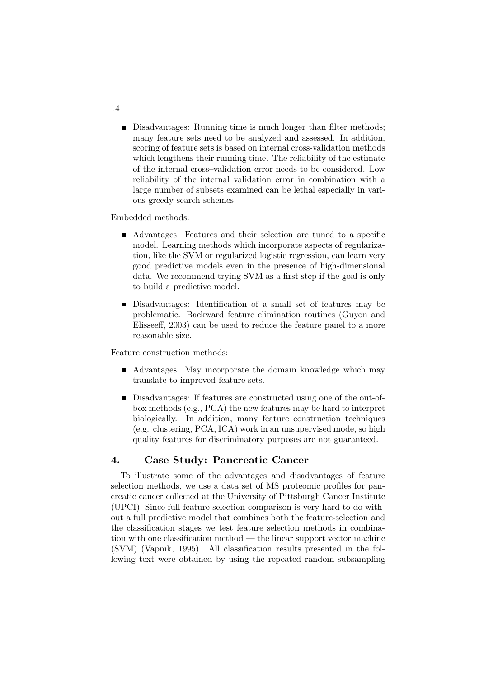**Disadvantages:** Running time is much longer than filter methods; many feature sets need to be analyzed and assessed. In addition, scoring of feature sets is based on internal cross-validation methods which lengthens their running time. The reliability of the estimate of the internal cross–validation error needs to be considered. Low reliability of the internal validation error in combination with a large number of subsets examined can be lethal especially in various greedy search schemes.

Embedded methods:

- Advantages: Features and their selection are tuned to a specific model. Learning methods which incorporate aspects of regularization, like the SVM or regularized logistic regression, can learn very good predictive models even in the presence of high-dimensional data. We recommend trying SVM as a first step if the goal is only to build a predictive model.
- Disadvantages: Identification of a small set of features may be problematic. Backward feature elimination routines (Guyon and Elisseeff, 2003) can be used to reduce the feature panel to a more reasonable size.

Feature construction methods:

- Advantages: May incorporate the domain knowledge which may translate to improved feature sets.
- Disadvantages: If features are constructed using one of the out-ofbox methods (e.g., PCA) the new features may be hard to interpret biologically. In addition, many feature construction techniques (e.g. clustering, PCA, ICA) work in an unsupervised mode, so high quality features for discriminatory purposes are not guaranteed.

## 4. Case Study: Pancreatic Cancer

To illustrate some of the advantages and disadvantages of feature selection methods, we use a data set of MS proteomic profiles for pancreatic cancer collected at the University of Pittsburgh Cancer Institute (UPCI). Since full feature-selection comparison is very hard to do without a full predictive model that combines both the feature-selection and the classification stages we test feature selection methods in combination with one classification method — the linear support vector machine (SVM) (Vapnik, 1995). All classification results presented in the following text were obtained by using the repeated random subsampling

14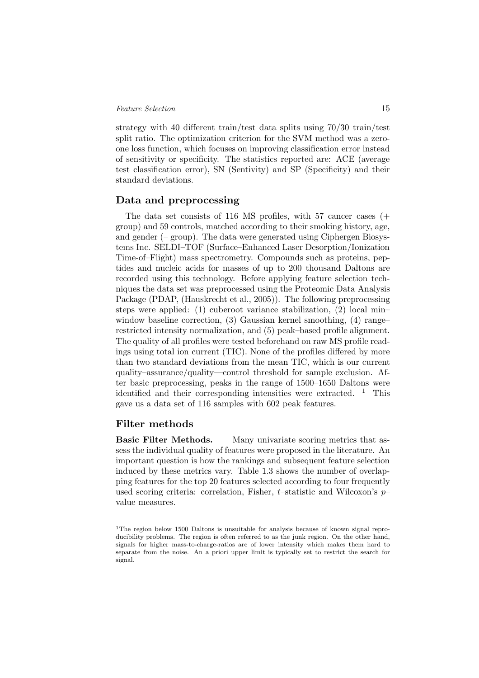strategy with 40 different train/test data splits using 70/30 train/test split ratio. The optimization criterion for the SVM method was a zeroone loss function, which focuses on improving classification error instead of sensitivity or specificity. The statistics reported are: ACE (average test classification error), SN (Sentivity) and SP (Specificity) and their standard deviations.

### Data and preprocessing

The data set consists of 116 MS profiles, with 57 cancer cases (+ group) and 59 controls, matched according to their smoking history, age, and gender  $(-$  group). The data were generated using Ciphergen Biosystems Inc. SELDI–TOF (Surface–Enhanced Laser Desorption/Ionization Time-of–Flight) mass spectrometry. Compounds such as proteins, peptides and nucleic acids for masses of up to 200 thousand Daltons are recorded using this technology. Before applying feature selection techniques the data set was preprocessed using the Proteomic Data Analysis Package (PDAP, (Hauskrecht et al., 2005)). The following preprocessing steps were applied: (1) cuberoot variance stabilization, (2) local min– window baseline correction, (3) Gaussian kernel smoothing, (4) range– restricted intensity normalization, and (5) peak–based profile alignment. The quality of all profiles were tested beforehand on raw MS profile readings using total ion current (TIC). None of the profiles differed by more than two standard deviations from the mean TIC, which is our current quality–assurance/quality—control threshold for sample exclusion. After basic preprocessing, peaks in the range of 1500–1650 Daltons were identified and their corresponding intensities were extracted.  $1$  This gave us a data set of 116 samples with 602 peak features.

#### Filter methods

Basic Filter Methods. Many univariate scoring metrics that assess the individual quality of features were proposed in the literature. An important question is how the rankings and subsequent feature selection induced by these metrics vary. Table 1.3 shows the number of overlapping features for the top 20 features selected according to four frequently used scoring criteria: correlation, Fisher,  $t$ -statistic and Wilcoxon's  $p$ value measures.

<sup>&</sup>lt;sup>1</sup>The region below 1500 Daltons is unsuitable for analysis because of known signal reproducibility problems. The region is often referred to as the junk region. On the other hand, signals for higher mass-to-charge-ratios are of lower intensity which makes them hard to separate from the noise. An a priori upper limit is typically set to restrict the search for signal.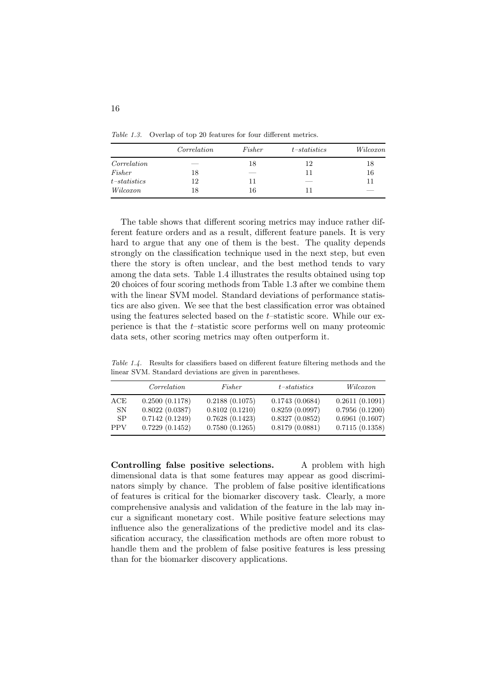|                 | Correlation | Fisher | $t-statistics$ | Wilcoxon |
|-----------------|-------------|--------|----------------|----------|
| Correlation     |             | 18     | 12             | 18       |
| Fisher          | 18          |        | 11             | 16       |
| $t$ -statistics | 19          | 11     | ___            | 11       |
| Wilcoxon        |             | 16     |                |          |

*Table 1.3.* Overlap of top 20 features for four different metrics.

The table shows that different scoring metrics may induce rather different feature orders and as a result, different feature panels. It is very hard to argue that any one of them is the best. The quality depends strongly on the classification technique used in the next step, but even there the story is often unclear, and the best method tends to vary among the data sets. Table 1.4 illustrates the results obtained using top 20 choices of four scoring methods from Table 1.3 after we combine them with the linear SVM model. Standard deviations of performance statistics are also given. We see that the best classification error was obtained using the features selected based on the t–statistic score. While our experience is that the t–statistic score performs well on many proteomic data sets, other scoring metrics may often outperform it.

*Table 1.4.* Results for classifiers based on different feature filtering methods and the linear SVM. Standard deviations are given in parentheses.

|            | Correlation    | Fisher         | $t$ -statistics | Wilcoxon       |
|------------|----------------|----------------|-----------------|----------------|
| ACE        | 0.2500(0.1178) | 0.2188(0.1075) | 0.1743(0.0684)  | 0.2611(0.1091) |
| <b>SN</b>  | 0.8022(0.0387) | 0.8102(0.1210) | 0.8259(0.0997)  | 0.7956(0.1200) |
| <b>SP</b>  | 0.7142(0.1249) | 0.7628(0.1423) | 0.8327(0.0852)  | 0.6961(0.1607) |
| <b>PPV</b> | 0.7229(0.1452) | 0.7580(0.1265) | 0.8179(0.0881)  | 0.7115(0.1358) |

Controlling false positive selections. A problem with high dimensional data is that some features may appear as good discriminators simply by chance. The problem of false positive identifications of features is critical for the biomarker discovery task. Clearly, a more comprehensive analysis and validation of the feature in the lab may incur a significant monetary cost. While positive feature selections may influence also the generalizations of the predictive model and its classification accuracy, the classification methods are often more robust to handle them and the problem of false positive features is less pressing than for the biomarker discovery applications.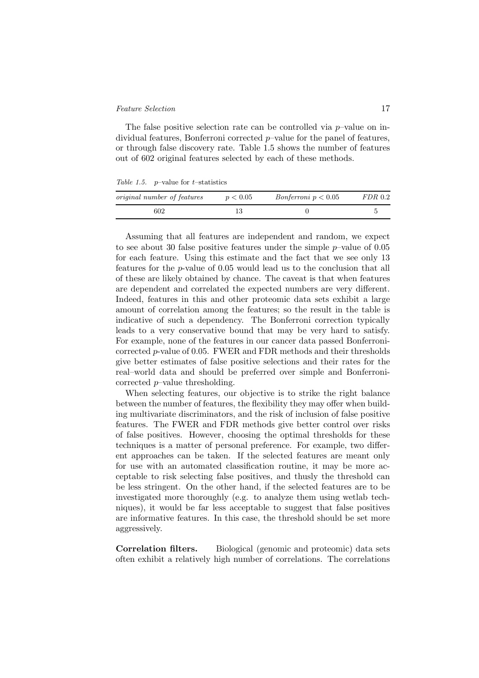#### *Feature Selection* 17

The false positive selection rate can be controlled via  $p$ -value on individual features, Bonferroni corrected  $p$ -value for the panel of features, or through false discovery rate. Table 1.5 shows the number of features out of 602 original features selected by each of these methods.

*Table 1.5. p*–value for *t*–statistics

| <i>original number of features</i> | p < 0.05 | Bonferroni $p < 0.05$ | FDR~0.2 |
|------------------------------------|----------|-----------------------|---------|
| 602                                |          |                       |         |

Assuming that all features are independent and random, we expect to see about 30 false positive features under the simple  $p$ -value of 0.05 for each feature. Using this estimate and the fact that we see only 13 features for the p-value of 0.05 would lead us to the conclusion that all of these are likely obtained by chance. The caveat is that when features are dependent and correlated the expected numbers are very different. Indeed, features in this and other proteomic data sets exhibit a large amount of correlation among the features; so the result in the table is indicative of such a dependency. The Bonferroni correction typically leads to a very conservative bound that may be very hard to satisfy. For example, none of the features in our cancer data passed Bonferronicorrected p-value of 0.05. FWER and FDR methods and their thresholds give better estimates of false positive selections and their rates for the real–world data and should be preferred over simple and Bonferronicorrected p–value thresholding.

When selecting features, our objective is to strike the right balance between the number of features, the flexibility they may offer when building multivariate discriminators, and the risk of inclusion of false positive features. The FWER and FDR methods give better control over risks of false positives. However, choosing the optimal thresholds for these techniques is a matter of personal preference. For example, two different approaches can be taken. If the selected features are meant only for use with an automated classification routine, it may be more acceptable to risk selecting false positives, and thusly the threshold can be less stringent. On the other hand, if the selected features are to be investigated more thoroughly (e.g. to analyze them using wetlab techniques), it would be far less acceptable to suggest that false positives are informative features. In this case, the threshold should be set more aggressively.

Correlation filters. Biological (genomic and proteomic) data sets often exhibit a relatively high number of correlations. The correlations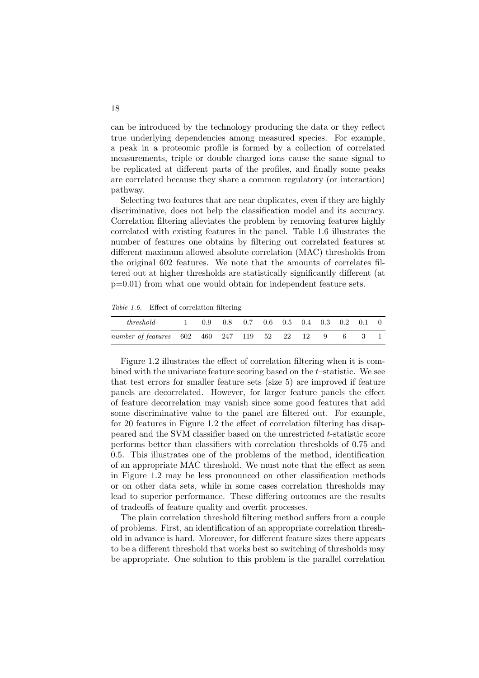can be introduced by the technology producing the data or they reflect true underlying dependencies among measured species. For example, a peak in a proteomic profile is formed by a collection of correlated measurements, triple or double charged ions cause the same signal to be replicated at different parts of the profiles, and finally some peaks are correlated because they share a common regulatory (or interaction) pathway.

Selecting two features that are near duplicates, even if they are highly discriminative, does not help the classification model and its accuracy. Correlation filtering alleviates the problem by removing features highly correlated with existing features in the panel. Table 1.6 illustrates the number of features one obtains by filtering out correlated features at different maximum allowed absolute correlation (MAC) thresholds from the original 602 features. We note that the amounts of correlates filtered out at higher thresholds are statistically significantly different (at p=0.01) from what one would obtain for independent feature sets.

*Table 1.6.* Effect of correlation filtering

| threshold                                           |  | 1 0.9 0.8 0.7 0.6 0.5 0.4 0.3 0.2 0.1 0 |  |  |  |  |
|-----------------------------------------------------|--|-----------------------------------------|--|--|--|--|
| number of features 602 460 247 119 52 22 12 9 6 3 1 |  |                                         |  |  |  |  |

Figure 1.2 illustrates the effect of correlation filtering when it is combined with the univariate feature scoring based on the t–statistic. We see that test errors for smaller feature sets (size 5) are improved if feature panels are decorrelated. However, for larger feature panels the effect of feature decorrelation may vanish since some good features that add some discriminative value to the panel are filtered out. For example, for 20 features in Figure 1.2 the effect of correlation filtering has disappeared and the SVM classifier based on the unrestricted t-statistic score performs better than classifiers with correlation thresholds of 0.75 and 0.5. This illustrates one of the problems of the method, identification of an appropriate MAC threshold. We must note that the effect as seen in Figure 1.2 may be less pronounced on other classification methods or on other data sets, while in some cases correlation thresholds may lead to superior performance. These differing outcomes are the results of tradeoffs of feature quality and overfit processes.

The plain correlation threshold filtering method suffers from a couple of problems. First, an identification of an appropriate correlation threshold in advance is hard. Moreover, for different feature sizes there appears to be a different threshold that works best so switching of thresholds may be appropriate. One solution to this problem is the parallel correlation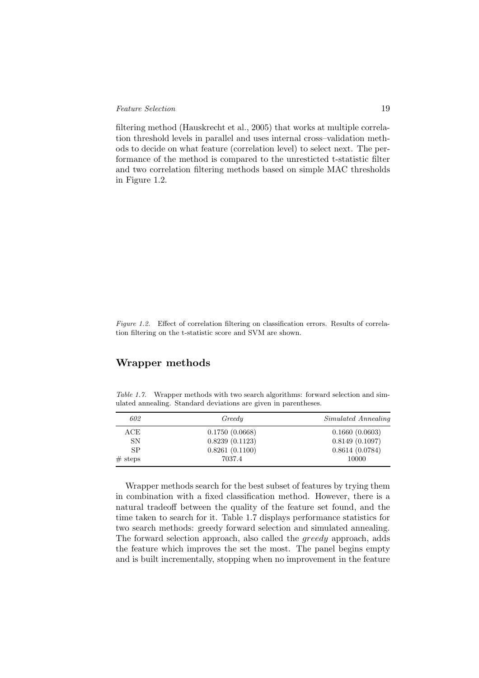filtering method (Hauskrecht et al., 2005) that works at multiple correlation threshold levels in parallel and uses internal cross–validation methods to decide on what feature (correlation level) to select next. The performance of the method is compared to the unresticted t-statistic filter and two correlation filtering methods based on simple MAC thresholds in Figure 1.2.

*Figure 1.2.* Effect of correlation filtering on classification errors. Results of correlation filtering on the t-statistic score and SVM are shown.

## Wrapper methods

*Table 1.7.* Wrapper methods with two search algorithms: forward selection and simulated annealing. Standard deviations are given in parentheses.

| 602          | Greedy         | Simulated Annealing |
|--------------|----------------|---------------------|
| $_{\rm ACE}$ | 0.1750(0.0668) | 0.1660(0.0603)      |
| <b>SN</b>    | 0.8239(0.1123) | 0.8149(0.1097)      |
| <b>SP</b>    | 0.8261(0.1100) | 0.8614(0.0784)      |
| $#$ steps    | 7037.4         | 10000               |

Wrapper methods search for the best subset of features by trying them in combination with a fixed classification method. However, there is a natural tradeoff between the quality of the feature set found, and the time taken to search for it. Table 1.7 displays performance statistics for two search methods: greedy forward selection and simulated annealing. The forward selection approach, also called the greedy approach, adds the feature which improves the set the most. The panel begins empty and is built incrementally, stopping when no improvement in the feature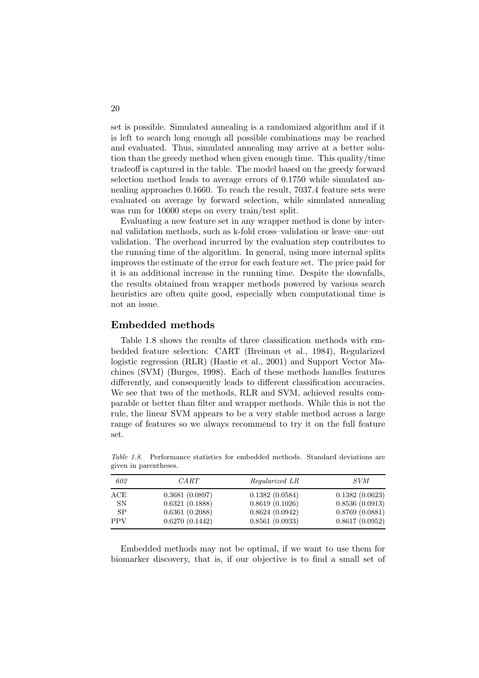set is possible. Simulated annealing is a randomized algorithm and if it is left to search long enough all possible combinations may be reached and evaluated. Thus, simulated annealing may arrive at a better solution than the greedy method when given enough time. This quality/time tradeoff is captured in the table. The model based on the greedy forward selection method leads to average errors of 0.1750 while simulated annealing approaches 0.1660. To reach the result, 7037.4 feature sets were evaluated on average by forward selection, while simulated annealing was run for 10000 steps on every train/test split.

Evaluating a new feature set in any wrapper method is done by internal validation methods, such as k-fold cross–validation or leave–one–out validation. The overhead incurred by the evaluation step contributes to the running time of the algorithm. In general, using more internal splits improves the estimate of the error for each feature set. The price paid for it is an additional increase in the running time. Despite the downfalls, the results obtained from wrapper methods powered by various search heuristics are often quite good, especially when computational time is not an issue.

#### Embedded methods

Table 1.8 shows the results of three classification methods with embedded feature selection: CART (Breiman et al., 1984), Regularized logistic regression (RLR) (Hastie et al., 2001) and Support Vector Machines (SVM) (Burges, 1998). Each of these methods handles features differently, and consequently leads to different classification accuracies. We see that two of the methods, RLR and SVM, achieved results comparable or better than filter and wrapper methods. While this is not the rule, the linear SVM appears to be a very stable method across a large range of features so we always recommend to try it on the full feature set.

| 602        | CART           | Regularized LR | <i>SVM</i>     |
|------------|----------------|----------------|----------------|
| ACE        | 0.3681(0.0897) | 0.1382(0.0584) | 0.1382(0.0623) |
| <b>SN</b>  | 0.6321(0.1888) | 0.8619(0.1026) | 0.8536(0.0913) |
| <b>SP</b>  | 0.6361(0.2088) | 0.8624(0.0942) | 0.8769(0.0881) |
| <b>PPV</b> | 0.6270(0.1442) | 0.8561(0.0933) | 0.8617(0.0952) |

*Table 1.8.* Performance statistics for embedded methods. Standard deviations are given in parentheses.

Embedded methods may not be optimal, if we want to use them for biomarker discovery, that is, if our objective is to find a small set of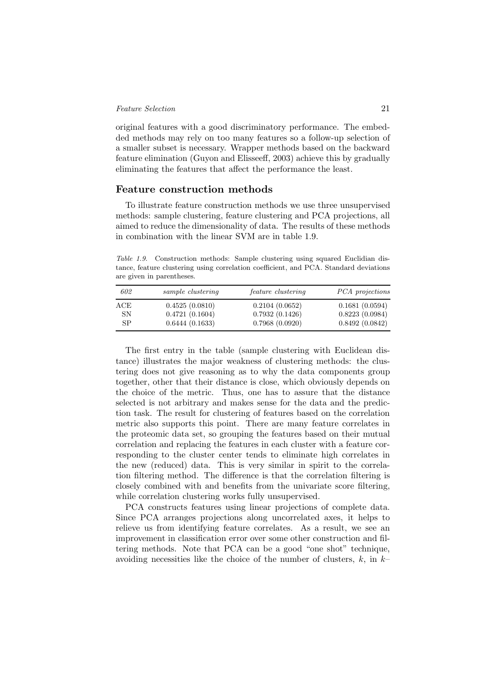original features with a good discriminatory performance. The embedded methods may rely on too many features so a follow-up selection of a smaller subset is necessary. Wrapper methods based on the backward feature elimination (Guyon and Elisseeff, 2003) achieve this by gradually eliminating the features that affect the performance the least.

#### Feature construction methods

To illustrate feature construction methods we use three unsupervised methods: sample clustering, feature clustering and PCA projections, all aimed to reduce the dimensionality of data. The results of these methods in combination with the linear SVM are in table 1.9.

*Table 1.9.* Construction methods: Sample clustering using squared Euclidian distance, feature clustering using correlation coefficient, and PCA. Standard deviations are given in parentheses.

| 602 | sample clustering | <i>feature clustering</i> | <i>PCA</i> projections |
|-----|-------------------|---------------------------|------------------------|
| ACE | 0.4525(0.0810)    | 0.2104(0.0652)            | 0.1681(0.0594)         |
| SN  | 0.4721(0.1604)    | 0.7932(0.1426)            | 0.8223(0.0984)         |
| SP  | 0.6444(0.1633)    | 0.7968(0.0920)            | 0.8492(0.0842)         |

The first entry in the table (sample clustering with Euclidean distance) illustrates the major weakness of clustering methods: the clustering does not give reasoning as to why the data components group together, other that their distance is close, which obviously depends on the choice of the metric. Thus, one has to assure that the distance selected is not arbitrary and makes sense for the data and the prediction task. The result for clustering of features based on the correlation metric also supports this point. There are many feature correlates in the proteomic data set, so grouping the features based on their mutual correlation and replacing the features in each cluster with a feature corresponding to the cluster center tends to eliminate high correlates in the new (reduced) data. This is very similar in spirit to the correlation filtering method. The difference is that the correlation filtering is closely combined with and benefits from the univariate score filtering, while correlation clustering works fully unsupervised.

PCA constructs features using linear projections of complete data. Since PCA arranges projections along uncorrelated axes, it helps to relieve us from identifying feature correlates. As a result, we see an improvement in classification error over some other construction and filtering methods. Note that PCA can be a good "one shot" technique, avoiding necessities like the choice of the number of clusters,  $k$ , in  $k-$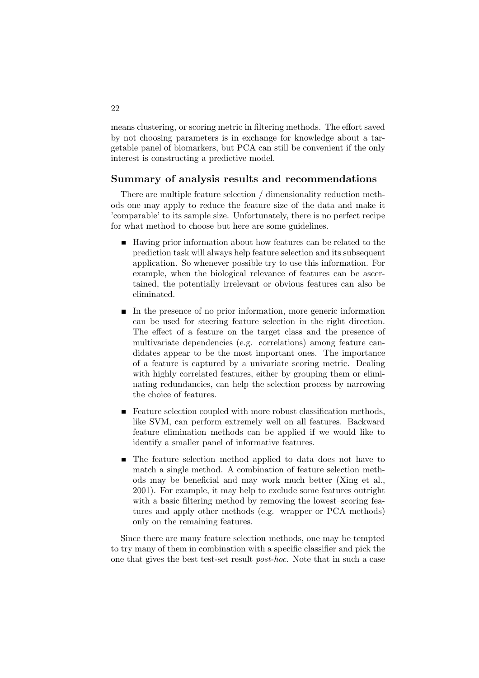means clustering, or scoring metric in filtering methods. The effort saved by not choosing parameters is in exchange for knowledge about a targetable panel of biomarkers, but PCA can still be convenient if the only interest is constructing a predictive model.

## Summary of analysis results and recommendations

There are multiple feature selection / dimensionality reduction methods one may apply to reduce the feature size of the data and make it 'comparable' to its sample size. Unfortunately, there is no perfect recipe for what method to choose but here are some guidelines.

- Having prior information about how features can be related to the prediction task will always help feature selection and its subsequent application. So whenever possible try to use this information. For example, when the biological relevance of features can be ascertained, the potentially irrelevant or obvious features can also be eliminated.
- In the presence of no prior information, more generic information can be used for steering feature selection in the right direction. The effect of a feature on the target class and the presence of multivariate dependencies (e.g. correlations) among feature candidates appear to be the most important ones. The importance of a feature is captured by a univariate scoring metric. Dealing with highly correlated features, either by grouping them or eliminating redundancies, can help the selection process by narrowing the choice of features.
- Feature selection coupled with more robust classification methods, like SVM, can perform extremely well on all features. Backward feature elimination methods can be applied if we would like to identify a smaller panel of informative features.
- The feature selection method applied to data does not have to match a single method. A combination of feature selection methods may be beneficial and may work much better (Xing et al., 2001). For example, it may help to exclude some features outright with a basic filtering method by removing the lowest–scoring features and apply other methods (e.g. wrapper or PCA methods) only on the remaining features.

Since there are many feature selection methods, one may be tempted to try many of them in combination with a specific classifier and pick the one that gives the best test-set result *post-hoc*. Note that in such a case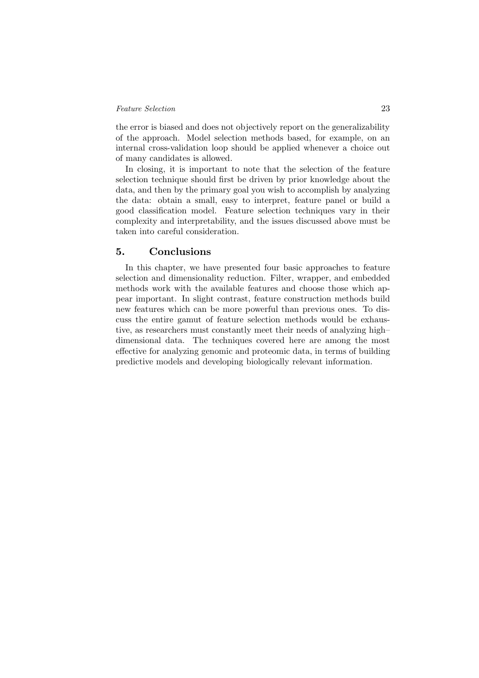the error is biased and does not objectively report on the generalizability of the approach. Model selection methods based, for example, on an internal cross-validation loop should be applied whenever a choice out of many candidates is allowed.

In closing, it is important to note that the selection of the feature selection technique should first be driven by prior knowledge about the data, and then by the primary goal you wish to accomplish by analyzing the data: obtain a small, easy to interpret, feature panel or build a good classification model. Feature selection techniques vary in their complexity and interpretability, and the issues discussed above must be taken into careful consideration.

### 5. Conclusions

In this chapter, we have presented four basic approaches to feature selection and dimensionality reduction. Filter, wrapper, and embedded methods work with the available features and choose those which appear important. In slight contrast, feature construction methods build new features which can be more powerful than previous ones. To discuss the entire gamut of feature selection methods would be exhaustive, as researchers must constantly meet their needs of analyzing high– dimensional data. The techniques covered here are among the most effective for analyzing genomic and proteomic data, in terms of building predictive models and developing biologically relevant information.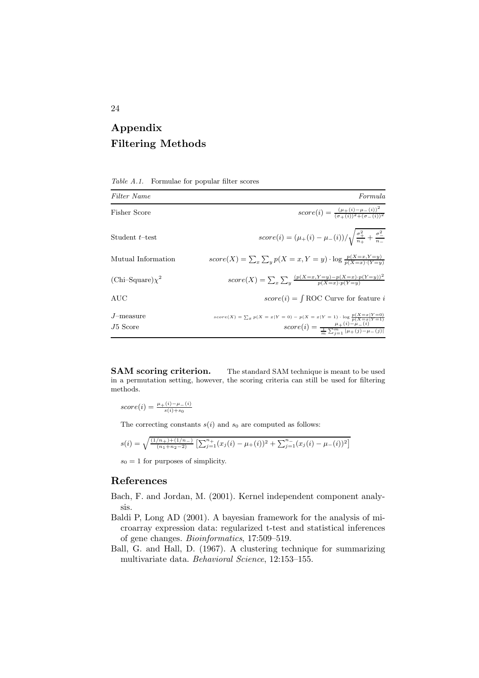## Appendix Filtering Methods

*Table A.1.* Formulae for popular filter scores

| Filter Name                | Formula                                                                                                                                                                                                  |
|----------------------------|----------------------------------------------------------------------------------------------------------------------------------------------------------------------------------------------------------|
| Fisher Score               | $score(i) = \frac{(\mu_{+}(i) - \mu_{-}(i))^{2}}{(\sigma_{+}(i))^{2} + (\sigma_{-}(i))^{2}}$                                                                                                             |
| Student $t$ -test          | $score(i) = (\mu_{+}(i) - \mu_{-}(i))/\sqrt{\frac{\sigma_{+}^{2}}{n_{+}} + \frac{\sigma_{-}^{2}}{n_{-}}}$                                                                                                |
| Mutual Information         | $score(X) = \sum_{x} \sum_{y} p(X = x, Y = y) \cdot log \frac{p(X=x, Y=y)}{p(X=x) \cdot (Y=y)}$                                                                                                          |
| (Chi-Square) $\chi^2$      | $score(X) = \sum_{x} \sum_{y} \frac{(p(X=x, Y=y) - p(X=x) \cdot p(Y=y))^2}{p(X=x) \cdot p(Y=y)}$                                                                                                         |
| AUC                        | $score(i) = \int \text{ROC Curve for feature } i$                                                                                                                                                        |
| $J$ -measure<br>$J5$ Score | $score(X) = \sum_x p(X = x   Y = 0) - p(X = x   Y = 1) \cdot log \frac{p(X=x   Y=0)}{p(X=x   Y=1)}$<br>$score(i) = \frac{\mu_{+}(i) - \mu_{-}(i)}{\frac{1}{m} \sum_{i=1}^{m}  \mu_{+}(j) - \mu_{-}(j) }$ |

SAM scoring criterion. The standard SAM technique is meant to be used in a permutation setting, however, the scoring criteria can still be used for filtering methods.

$$
score(i) = \frac{\mu_+(i) - \mu_-(i)}{s(i) + s_0}
$$

The correcting constants  $s(i)$  and  $s_0$  are computed as follows:

$$
s(i) = \sqrt{\frac{(1/n_+) + (1/n_-)}{(n_1+n_2-2)}} \left[ \sum_{j=1}^{n_+} (x_j(i) - \mu_+(i))^2 + \sum_{j=1}^{n_-} (x_j(i) - \mu_-(i))^2 \right]
$$

 $s_0 = 1$  for purposes of simplicity.

## References

Bach, F. and Jordan, M. (2001). Kernel independent component analysis.

- Baldi P, Long AD (2001). A bayesian framework for the analysis of microarray expression data: regularized t-test and statistical inferences of gene changes. *Bioinformatics*, 17:509–519.
- Ball, G. and Hall, D. (1967). A clustering technique for summarizing multivariate data. *Behavioral Science*, 12:153–155.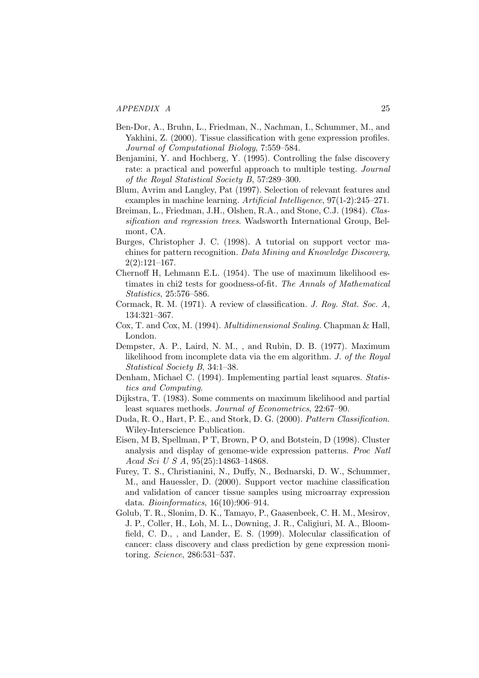- Ben-Dor, A., Bruhn, L., Friedman, N., Nachman, I., Schummer, M., and Yakhini, Z. (2000). Tissue classification with gene expression profiles. *Journal of Computational Biology*, 7:559–584.
- Benjamini, Y. and Hochberg, Y. (1995). Controlling the false discovery rate: a practical and powerful approach to multiple testing. *Journal of the Royal Statistical Society B*, 57:289–300.
- Blum, Avrim and Langley, Pat (1997). Selection of relevant features and examples in machine learning. *Artificial Intelligence*, 97(1-2):245–271.
- Breiman, L., Friedman, J.H., Olshen, R.A., and Stone, C.J. (1984). *Classification and regression trees*. Wadsworth International Group, Belmont, CA.
- Burges, Christopher J. C. (1998). A tutorial on support vector machines for pattern recognition. *Data Mining and Knowledge Discovery*,  $2(2):121-167.$
- Chernoff H, Lehmann E.L. (1954). The use of maximum likelihood estimates in chi2 tests for goodness-of-fit. *The Annals of Mathematical Statistics*, 25:576–586.
- Cormack, R. M. (1971). A review of classification. *J. Roy. Stat. Soc. A*, 134:321–367.
- Cox, T. and Cox, M. (1994). *Multidimensional Scaling*. Chapman & Hall, London.
- Dempster, A. P., Laird, N. M., , and Rubin, D. B. (1977). Maximum likelihood from incomplete data via the em algorithm. *J. of the Royal Statistical Society B*, 34:1–38.
- Denham, Michael C. (1994). Implementing partial least squares. *Statistics and Computing*.
- Dijkstra, T. (1983). Some comments on maximum likelihood and partial least squares methods. *Journal of Econometrics*, 22:67–90.
- Duda, R. O., Hart, P. E., and Stork, D. G. (2000). *Pattern Classification*. Wiley-Interscience Publication.
- Eisen, M B, Spellman, P T, Brown, P O, and Botstein, D (1998). Cluster analysis and display of genome-wide expression patterns. *Proc Natl Acad Sci U S A*, 95(25):14863–14868.
- Furey, T. S., Christianini, N., Duffy, N., Bednarski, D. W., Schummer, M., and Hauessler, D. (2000). Support vector machine classification and validation of cancer tissue samples using microarray expression data. *Bioinformatics*, 16(10):906–914.
- Golub, T. R., Slonim, D. K., Tamayo, P., Gaasenbeek, C. H. M., Mesirov, J. P., Coller, H., Loh, M. L., Downing, J. R., Caligiuri, M. A., Bloomfield, C. D., , and Lander, E. S. (1999). Molecular classification of cancer: class discovery and class prediction by gene expression monitoring. *Science*, 286:531–537.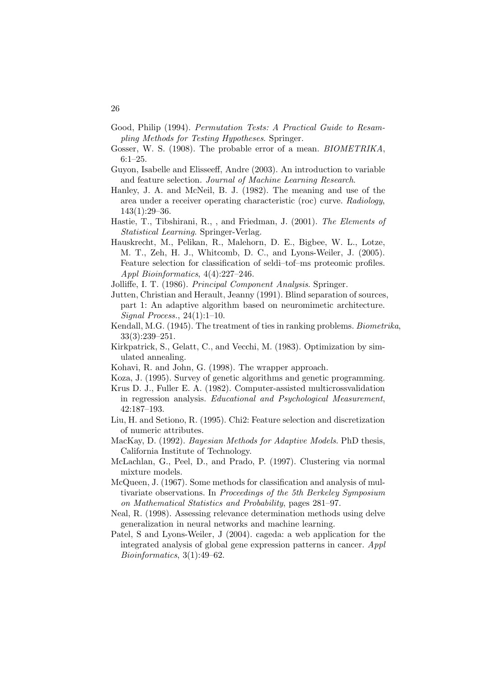- Good, Philip (1994). *Permutation Tests: A Practical Guide to Resampling Methods for Testing Hypotheses*. Springer.
- Gosser, W. S. (1908). The probable error of a mean. *BIOMETRIKA*, 6:1–25.
- Guyon, Isabelle and Elisseeff, Andre (2003). An introduction to variable and feature selection. *Journal of Machine Learning Research*.
- Hanley, J. A. and McNeil, B. J. (1982). The meaning and use of the area under a receiver operating characteristic (roc) curve. *Radiology*, 143(1):29–36.
- Hastie, T., Tibshirani, R., , and Friedman, J. (2001). *The Elements of Statistical Learning*. Springer-Verlag.
- Hauskrecht, M., Pelikan, R., Malehorn, D. E., Bigbee, W. L., Lotze, M. T., Zeh, H. J., Whitcomb, D. C., and Lyons-Weiler, J. (2005). Feature selection for classification of seldi–tof–ms proteomic profiles. *Appl Bioinformatics*, 4(4):227–246.
- Jolliffe, I. T. (1986). *Principal Component Analysis*. Springer.
- Jutten, Christian and Herault, Jeanny (1991). Blind separation of sources, part 1: An adaptive algorithm based on neuromimetic architecture. *Signal Process.*, 24(1):1–10.
- Kendall, M.G. (1945). The treatment of ties in ranking problems. *Biometrika*, 33(3):239–251.
- Kirkpatrick, S., Gelatt, C., and Vecchi, M. (1983). Optimization by simulated annealing.
- Kohavi, R. and John, G. (1998). The wrapper approach.
- Koza, J. (1995). Survey of genetic algorithms and genetic programming.
- Krus D. J., Fuller E. A. (1982). Computer-assisted multicrossvalidation in regression analysis. *Educational and Psychological Measurement*, 42:187–193.
- Liu, H. and Setiono, R. (1995). Chi2: Feature selection and discretization of numeric attributes.
- MacKay, D. (1992). *Bayesian Methods for Adaptive Models*. PhD thesis, California Institute of Technology.
- McLachlan, G., Peel, D., and Prado, P. (1997). Clustering via normal mixture models.
- McQueen, J. (1967). Some methods for classification and analysis of multivariate observations. In *Proceedings of the 5th Berkeley Symposium on Mathematical Statistics and Probability*, pages 281–97.
- Neal, R. (1998). Assessing relevance determination methods using delve generalization in neural networks and machine learning.
- Patel, S and Lyons-Weiler, J (2004). cageda: a web application for the integrated analysis of global gene expression patterns in cancer. *Appl Bioinformatics*, 3(1):49–62.